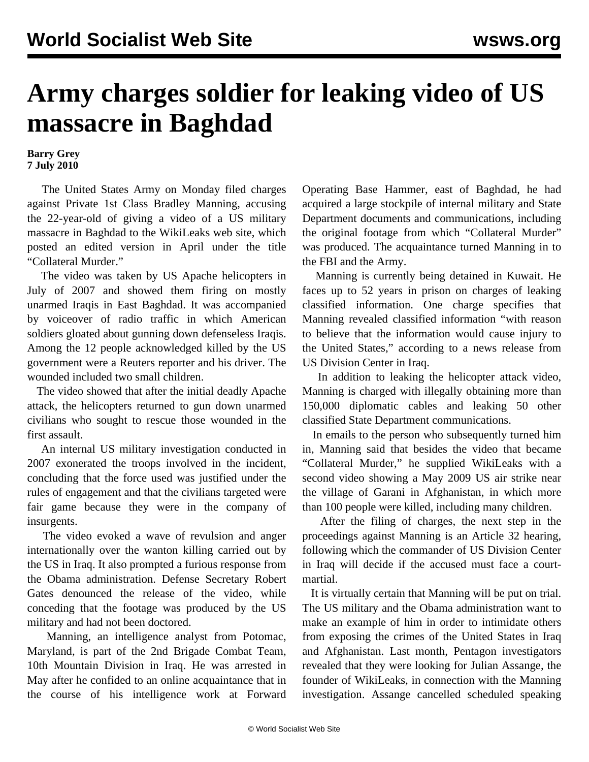## **Army charges soldier for leaking video of US massacre in Baghdad**

## **Barry Grey 7 July 2010**

 The United States Army on Monday filed charges against Private 1st Class Bradley Manning, accusing the 22-year-old of giving a video of a US military massacre in Baghdad to the WikiLeaks web site, which posted an edited version in April under the title "Collateral Murder."

 The video was taken by US Apache helicopters in July of 2007 and showed them firing on mostly unarmed Iraqis in East Baghdad. It was accompanied by voiceover of radio traffic in which American soldiers gloated about gunning down defenseless Iraqis. Among the 12 people acknowledged killed by the US government were a Reuters reporter and his driver. The wounded included two small children.

 The video showed that after the initial deadly Apache attack, the helicopters returned to gun down unarmed civilians who sought to rescue those wounded in the first assault.

 An internal US military investigation conducted in 2007 exonerated the troops involved in the incident, concluding that the force used was justified under the rules of engagement and that the civilians targeted were fair game because they were in the company of insurgents.

 The video evoked a wave of revulsion and anger internationally over the wanton killing carried out by the US in Iraq. It also prompted a furious response from the Obama administration. Defense Secretary Robert Gates denounced the release of the video, while conceding that the footage was produced by the US military and had not been doctored.

 Manning, an intelligence analyst from Potomac, Maryland, is part of the 2nd Brigade Combat Team, 10th Mountain Division in Iraq. He was arrested in May after he confided to an online acquaintance that in the course of his intelligence work at Forward Operating Base Hammer, east of Baghdad, he had acquired a large stockpile of internal military and State Department documents and communications, including the original footage from which "Collateral Murder" was produced. The acquaintance turned Manning in to the FBI and the Army.

 Manning is currently being detained in Kuwait. He faces up to 52 years in prison on charges of leaking classified information. One charge specifies that Manning revealed classified information "with reason to believe that the information would cause injury to the United States," according to a news release from US Division Center in Iraq.

 In addition to leaking the helicopter attack video, Manning is charged with illegally obtaining more than 150,000 diplomatic cables and leaking 50 other classified State Department communications.

 In emails to the person who subsequently turned him in, Manning said that besides the video that became "Collateral Murder," he supplied WikiLeaks with a second video showing a May 2009 US air strike near the village of Garani in Afghanistan, in which more than 100 people were killed, including many children.

 After the filing of charges, the next step in the proceedings against Manning is an Article 32 hearing, following which the commander of US Division Center in Iraq will decide if the accused must face a courtmartial.

 It is virtually certain that Manning will be put on trial. The US military and the Obama administration want to make an example of him in order to intimidate others from exposing the crimes of the United States in Iraq and Afghanistan. Last month, Pentagon investigators revealed that they were looking for Julian Assange, the founder of WikiLeaks, in connection with the Manning investigation. Assange cancelled scheduled speaking